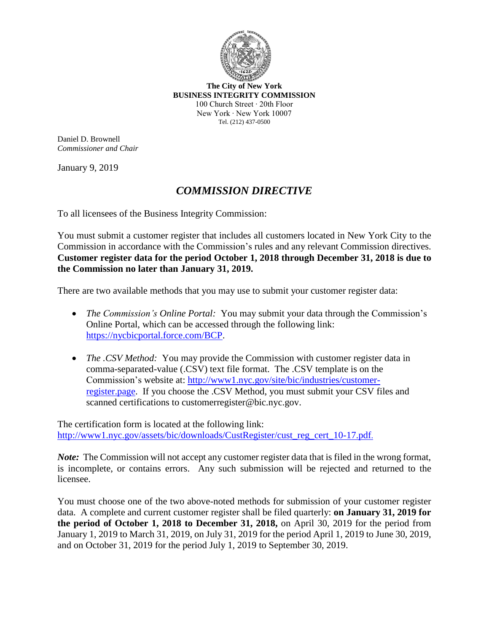

**The City of New York BUSINESS INTEGRITY COMMISSION** 100 Church Street ∙ 20th Floor New York ∙ New York 10007 Tel. (212) 437-0500

Daniel D. Brownell *Commissioner and Chair*

January 9, 2019

## *COMMISSION DIRECTIVE*

To all licensees of the Business Integrity Commission:

You must submit a customer register that includes all customers located in New York City to the Commission in accordance with the Commission's rules and any relevant Commission directives. **Customer register data for the period October 1, 2018 through December 31, 2018 is due to the Commission no later than January 31, 2019.**

There are two available methods that you may use to submit your customer register data:

- *The Commission's Online Portal:* You may submit your data through the Commission's Online Portal, which can be accessed through the following link: [https://nycbicportal.force.com/BCP.](https://nycbicportal.force.com/BCP)
- *The .CSV Method:* You may provide the Commission with customer register data in comma-separated-value (.CSV) text file format. The .CSV template is on the Commission's website at: http://www1.nyc.gov/site/bic/industries/customerregister.page. If you choose the .CSV Method, you must submit your CSV files and scanned certifications to customerregister@bic.nyc.gov.

The certification form is located at the following link: http://www1.nyc.gov/assets/bic/downloads/CustRegister/cust\_reg\_cert\_10-17.pdf.

*Note*: The Commission will not accept any customer register data that is filed in the wrong format, is incomplete, or contains errors. Any such submission will be rejected and returned to the licensee.

You must choose one of the two above-noted methods for submission of your customer register data. A complete and current customer register shall be filed quarterly: **on January 31, 2019 for the period of October 1, 2018 to December 31, 2018,** on April 30, 2019 for the period from January 1, 2019 to March 31, 2019, on July 31, 2019 for the period April 1, 2019 to June 30, 2019, and on October 31, 2019 for the period July 1, 2019 to September 30, 2019.